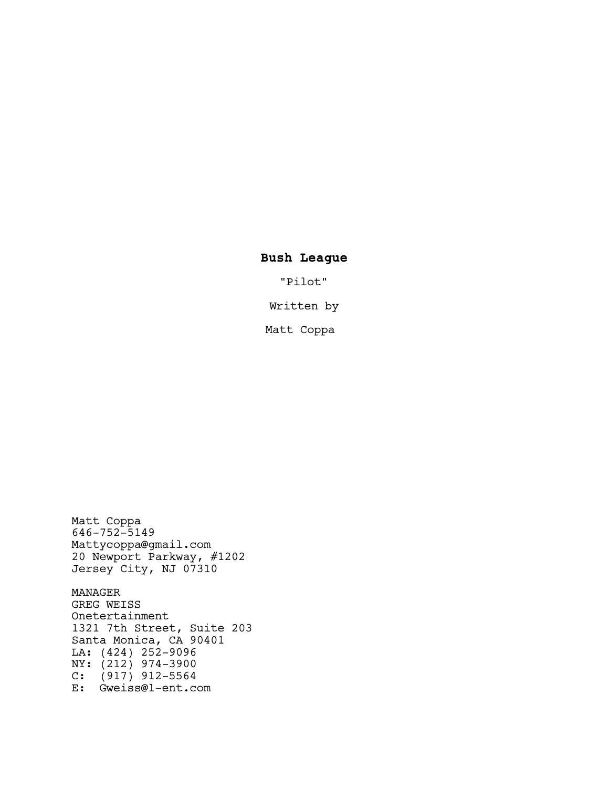# **Bush League**

"Pilot"

Written by

Matt Coppa

646-752-5149 Mattycoppa@gmail.com 20 Newport Parkway, #1202 Jersey City, NJ 07310 MANAGER GREG WEISS Onetertainment 1321 7th Street, Suite 203 Santa Monica, CA 90401 LA: (424) 252-9096 NY: (212) 974-3900 C: (917) 912-5564 E: Gweiss@1-ent.com

Matt Coppa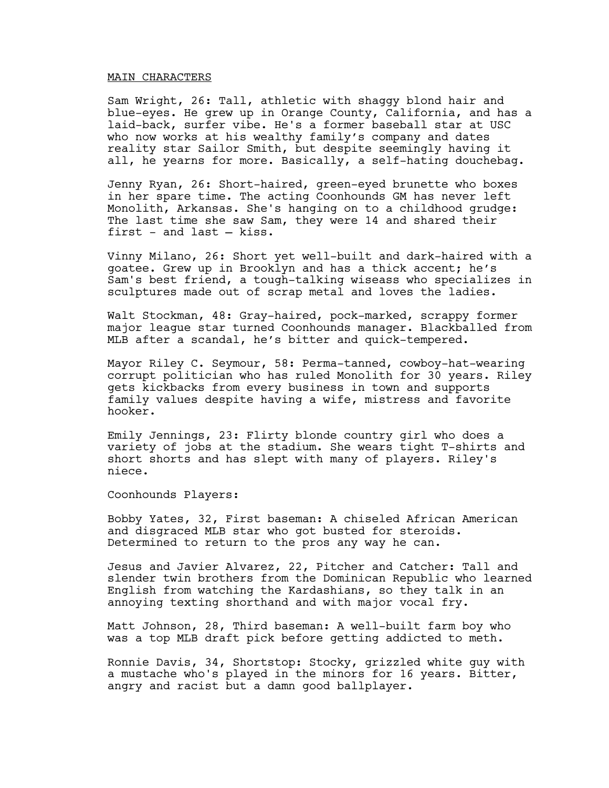## MAIN CHARACTERS

Sam Wright, 26: Tall, athletic with shaggy blond hair and blue-eyes. He grew up in Orange County, California, and has a laid-back, surfer vibe. He's a former baseball star at USC who now works at his wealthy family's company and dates reality star Sailor Smith, but despite seemingly having it all, he yearns for more. Basically, a self-hating douchebag.

Jenny Ryan, 26: Short-haired, green-eyed brunette who boxes in her spare time. The acting Coonhounds GM has never left Monolith, Arkansas. She's hanging on to a childhood grudge: The last time she saw Sam, they were 14 and shared their first - and last — kiss.

Vinny Milano, 26: Short yet well-built and dark-haired with a goatee. Grew up in Brooklyn and has a thick accent; he's Sam's best friend, a tough-talking wiseass who specializes in sculptures made out of scrap metal and loves the ladies.

Walt Stockman, 48: Gray-haired, pock-marked, scrappy former major league star turned Coonhounds manager. Blackballed from MLB after a scandal, he's bitter and quick-tempered.

Mayor Riley C. Seymour, 58: Perma-tanned, cowboy-hat-wearing corrupt politician who has ruled Monolith for 30 years. Riley gets kickbacks from every business in town and supports family values despite having a wife, mistress and favorite hooker.

Emily Jennings, 23: Flirty blonde country girl who does a variety of jobs at the stadium. She wears tight T-shirts and short shorts and has slept with many of players. Riley's niece.

Coonhounds Players:

Bobby Yates, 32, First baseman: A chiseled African American and disgraced MLB star who got busted for steroids. Determined to return to the pros any way he can.

Jesus and Javier Alvarez, 22, Pitcher and Catcher: Tall and slender twin brothers from the Dominican Republic who learned English from watching the Kardashians, so they talk in an annoying texting shorthand and with major vocal fry.

Matt Johnson, 28, Third baseman: A well-built farm boy who was a top MLB draft pick before getting addicted to meth.

Ronnie Davis, 34, Shortstop: Stocky, grizzled white guy with a mustache who's played in the minors for 16 years. Bitter, angry and racist but a damn good ballplayer.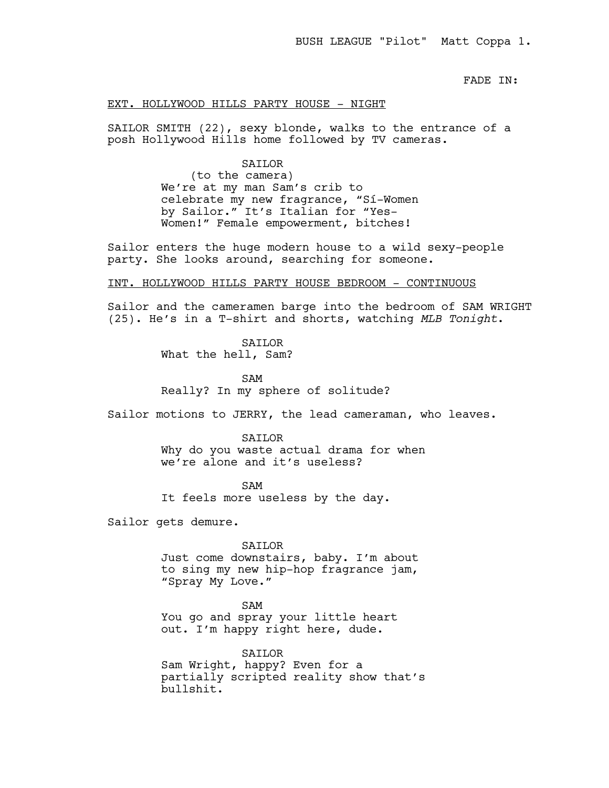FADE IN:

# EXT. HOLLYWOOD HILLS PARTY HOUSE - NIGHT

SAILOR SMITH (22), sexy blonde, walks to the entrance of a posh Hollywood Hills home followed by TV cameras.

#### SAILOR

(to the camera) We're at my man Sam's crib to celebrate my new fragrance, "Sí-Women by Sailor." It's Italian for "Yes-Women!" Female empowerment, bitches!

Sailor enters the huge modern house to a wild sexy-people party. She looks around, searching for someone.

# INT. HOLLYWOOD HILLS PARTY HOUSE BEDROOM - CONTINUOUS

Sailor and the cameramen barge into the bedroom of SAM WRIGHT (25). He's in a T-shirt and shorts, watching *MLB Tonight*.

**SATLOR** 

What the hell, Sam?

SAM Really? In my sphere of solitude?

Sailor motions to JERRY, the lead cameraman, who leaves.

#### SAILOR

Why do you waste actual drama for when we're alone and it's useless?

SAM It feels more useless by the day.

Sailor gets demure.

SAILOR

Just come downstairs, baby. I'm about to sing my new hip-hop fragrance jam, "Spray My Love."

#### SAM

You go and spray your little heart out. I'm happy right here, dude.

SAILOR

Sam Wright, happy? Even for a partially scripted reality show that's bullshit.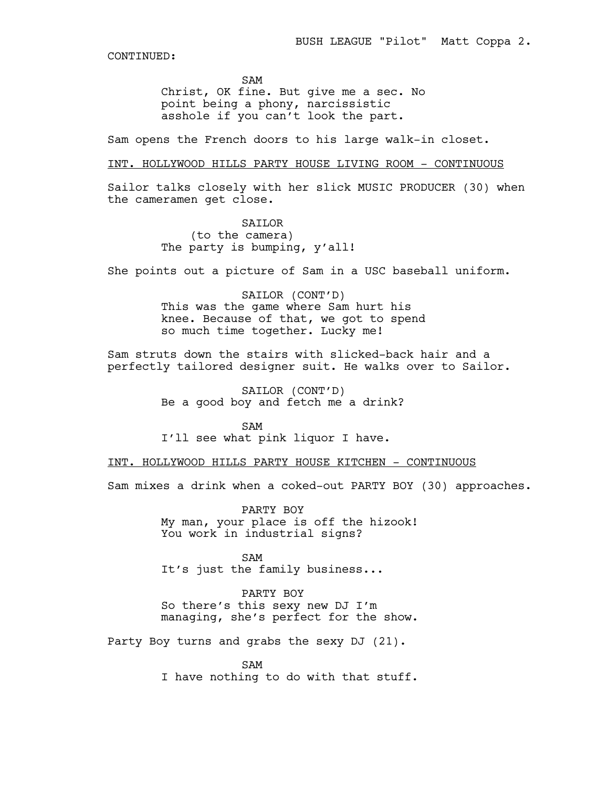SAM

Christ, OK fine. But give me a sec. No point being a phony, narcissistic asshole if you can't look the part.

Sam opens the French doors to his large walk-in closet.

# INT. HOLLYWOOD HILLS PARTY HOUSE LIVING ROOM - CONTINUOUS

Sailor talks closely with her slick MUSIC PRODUCER (30) when the cameramen get close.

> SAILOR (to the camera) The party is bumping, y'all!

She points out a picture of Sam in a USC baseball uniform.

SAILOR (CONT'D) This was the game where Sam hurt his knee. Because of that, we got to spend so much time together. Lucky me!

Sam struts down the stairs with slicked-back hair and a perfectly tailored designer suit. He walks over to Sailor.

> SAILOR (CONT'D) Be a good boy and fetch me a drink?

SAM I'll see what pink liquor I have.

INT. HOLLYWOOD HILLS PARTY HOUSE KITCHEN - CONTINUOUS

Sam mixes a drink when a coked-out PARTY BOY (30) approaches.

PARTY BOY My man, your place is off the hizook! You work in industrial signs?

SAM It's just the family business...

PARTY BOY So there's this sexy new DJ I'm managing, she's perfect for the show.

Party Boy turns and grabs the sexy DJ (21).

SAM I have nothing to do with that stuff.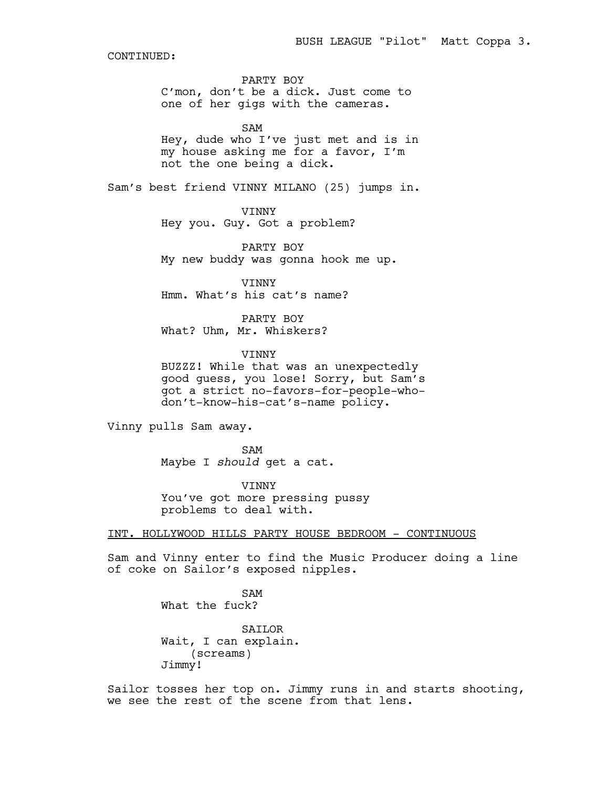PARTY BOY C'mon, don't be a dick. Just come to one of her gigs with the cameras.

SAM Hey, dude who I've just met and is in my house asking me for a favor, I'm not the one being a dick.

Sam's best friend VINNY MILANO (25) jumps in.

## VINNY

Hey you. Guy. Got a problem?

PARTY BOY My new buddy was gonna hook me up.

VINNY Hmm. What's his cat's name?

PARTY BOY What? Uhm, Mr. Whiskers?

VINNY

BUZZZ! While that was an unexpectedly good guess, you lose! Sorry, but Sam's got a strict no-favors-for-people-whodon't-know-his-cat's-name policy.

Vinny pulls Sam away.

SAM Maybe I *should* get a cat.

VINNY You've got more pressing pussy problems to deal with.

INT. HOLLYWOOD HILLS PARTY HOUSE BEDROOM - CONTINUOUS

Sam and Vinny enter to find the Music Producer doing a line of coke on Sailor's exposed nipples.

> SAM What the fuck?

SAILOR Wait, I can explain. (screams) Jimmy!

Sailor tosses her top on. Jimmy runs in and starts shooting, we see the rest of the scene from that lens.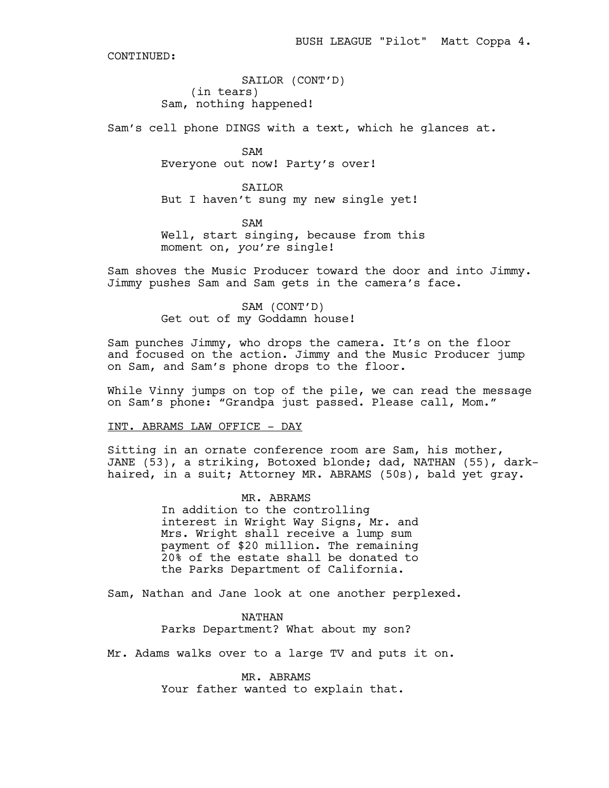SAILOR (CONT'D) (in tears) Sam, nothing happened!

Sam's cell phone DINGS with a text, which he glances at.

SAM Everyone out now! Party's over!

SAILOR But I haven't sung my new single yet!

SAM Well, start singing, because from this moment on, *you're* single!

Sam shoves the Music Producer toward the door and into Jimmy. Jimmy pushes Sam and Sam gets in the camera's face.

> SAM (CONT'D) Get out of my Goddamn house!

Sam punches Jimmy, who drops the camera. It's on the floor and focused on the action. Jimmy and the Music Producer jump on Sam, and Sam's phone drops to the floor.

While Vinny jumps on top of the pile, we can read the message on Sam's phone: "Grandpa just passed. Please call, Mom."

INT. ABRAMS LAW OFFICE - DAY

Sitting in an ornate conference room are Sam, his mother, JANE (53), a striking, Botoxed blonde; dad, NATHAN (55), darkhaired, in a suit; Attorney MR. ABRAMS (50s), bald yet gray.

> MR. ABRAMS In addition to the controlling interest in Wright Way Signs, Mr. and Mrs. Wright shall receive a lump sum payment of \$20 million. The remaining 20% of the estate shall be donated to the Parks Department of California.

Sam, Nathan and Jane look at one another perplexed.

NATHAN Parks Department? What about my son?

Mr. Adams walks over to a large TV and puts it on.

MR. ABRAMS Your father wanted to explain that.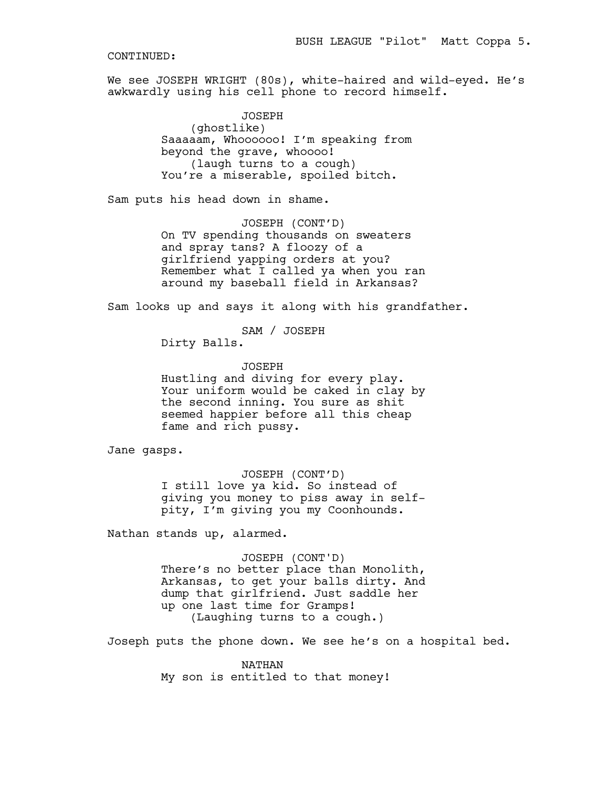We see JOSEPH WRIGHT (80s), white-haired and wild-eyed. He's awkwardly using his cell phone to record himself.

> JOSEPH (ghostlike) Saaaaam, Whoooooo! I'm speaking from beyond the grave, whoooo! (laugh turns to a cough) You're a miserable, spoiled bitch.

Sam puts his head down in shame.

JOSEPH (CONT'D) On TV spending thousands on sweaters and spray tans? A floozy of a girlfriend yapping orders at you? Remember what I called ya when you ran around my baseball field in Arkansas?

Sam looks up and says it along with his grandfather.

SAM / JOSEPH

Dirty Balls.

JOSEPH Hustling and diving for every play. Your uniform would be caked in clay by the second inning. You sure as shit seemed happier before all this cheap fame and rich pussy.

Jane gasps.

JOSEPH (CONT'D) I still love ya kid. So instead of giving you money to piss away in selfpity, I'm giving you my Coonhounds.

Nathan stands up, alarmed.

JOSEPH (CONT'D) There's no better place than Monolith, Arkansas, to get your balls dirty. And dump that girlfriend. Just saddle her up one last time for Gramps! (Laughing turns to a cough.)

Joseph puts the phone down. We see he's on a hospital bed.

NATHAN My son is entitled to that money!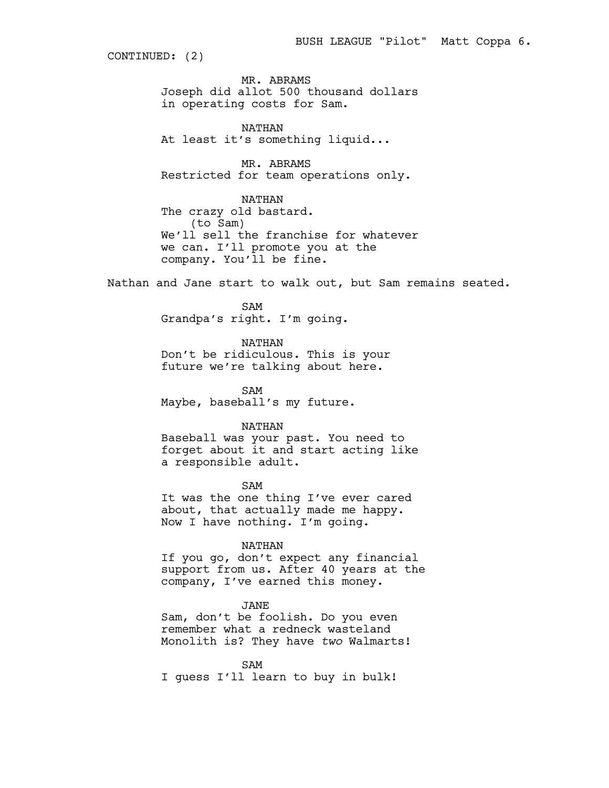CONTINUED: (2)

MR. ABRAMS Joseph did allot 500 thousand dollars in operating costs for Sam.

NATHAN At least it's something liquid...

MR. ABRAMS Restricted for team operations only.

NATHAN The crazy old bastard. (to Sam) We'll sell the franchise for whatever we can. I'll promote you at the company. You'll be fine.

Nathan and Jane start to walk out, but Sam remains seated.

SAM Grandpa's right. I'm going.

NATHAN Don't be ridiculous. This is your future we're talking about here.

SAM Maybe, baseball's my future.

# NATHAN

Baseball was your past. You need to forget about it and start acting like a responsible adult.

SAM It was the one thing I've ever cared about, that actually made me happy. Now I have nothing. I'm going.

#### NATHAN

If you go, don't expect any financial support from us. After 40 years at the company, I've earned this money.

#### JANE

Sam, don't be foolish. Do you even remember what a redneck wasteland Monolith is? They have *two* Walmarts!

SAM I guess I'll learn to buy in bulk!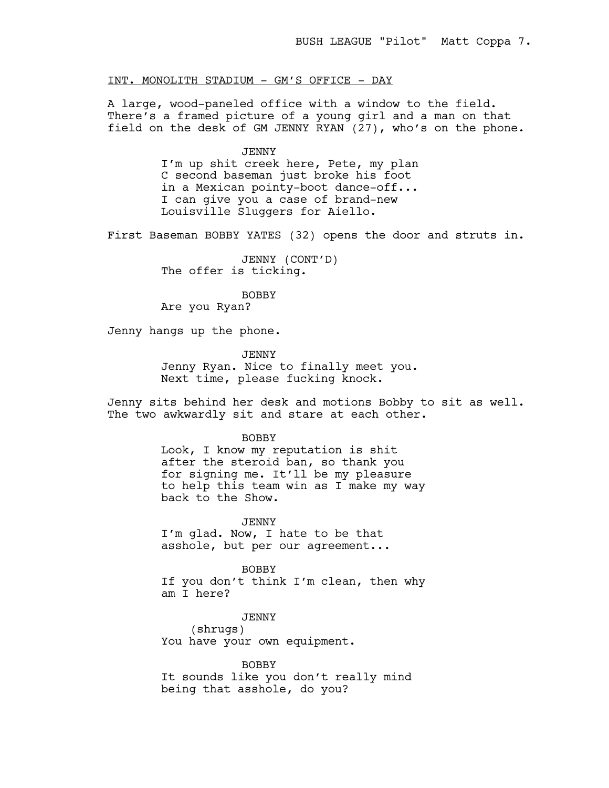# INT. MONOLITH STADIUM - GM'S OFFICE - DAY

A large, wood-paneled office with a window to the field. There's a framed picture of a young girl and a man on that field on the desk of GM JENNY RYAN (27), who's on the phone.

#### JENNY

I'm up shit creek here, Pete, my plan C second baseman just broke his foot in a Mexican pointy-boot dance-off... I can give you a case of brand-new Louisville Sluggers for Aiello.

First Baseman BOBBY YATES (32) opens the door and struts in.

JENNY (CONT'D) The offer is ticking.

BOBBY Are you Ryan?

Jenny hangs up the phone.

JENNY Jenny Ryan. Nice to finally meet you. Next time, please fucking knock.

Jenny sits behind her desk and motions Bobby to sit as well. The two awkwardly sit and stare at each other.

## BOBBY

Look, I know my reputation is shit after the steroid ban, so thank you for signing me. It'll be my pleasure to help this team win as I make my way back to the Show.

JENNY

I'm glad. Now, I hate to be that asshole, but per our agreement...

BOBBY

If you don't think I'm clean, then why am I here?

JENNY (shrugs) You have your own equipment.

BOBBY It sounds like you don't really mind being that asshole, do you?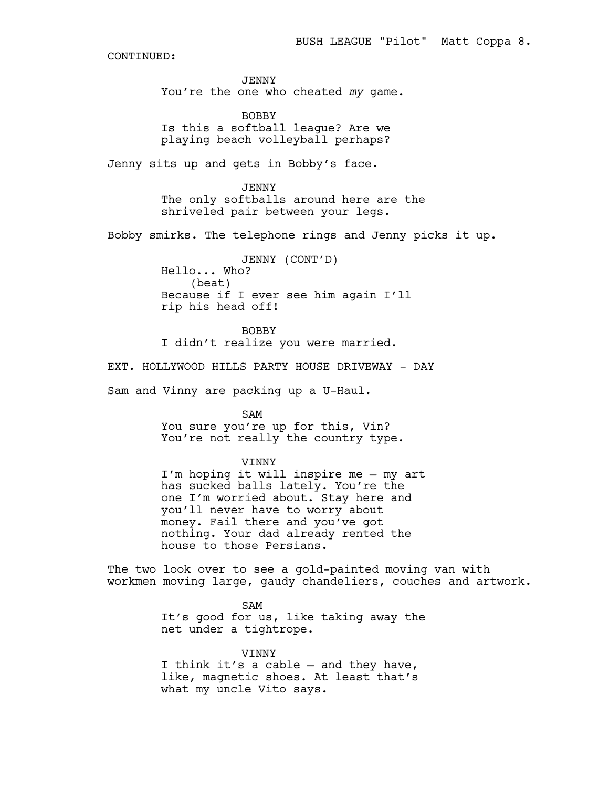JENNY You're the one who cheated *my* game.

BOBBY Is this a softball league? Are we playing beach volleyball perhaps?

Jenny sits up and gets in Bobby's face.

JENNY The only softballs around here are the shriveled pair between your legs.

Bobby smirks. The telephone rings and Jenny picks it up.

JENNY (CONT'D) Hello... Who? (beat) Because if I ever see him again I'll rip his head off!

BOBBY I didn't realize you were married.

EXT. HOLLYWOOD HILLS PARTY HOUSE DRIVEWAY - DAY

Sam and Vinny are packing up a U-Haul.

SAM You sure you're up for this, Vin? You're not really the country type.

VINNY

I'm hoping it will inspire me — my art has sucked balls lately. You're the one I'm worried about. Stay here and you'll never have to worry about money. Fail there and you've got nothing. Your dad already rented the house to those Persians.

The two look over to see a gold-painted moving van with workmen moving large, gaudy chandeliers, couches and artwork.

> SAM It's good for us, like taking away the net under a tightrope.

VINNY I think it's a cable — and they have, like, magnetic shoes. At least that's what my uncle Vito says.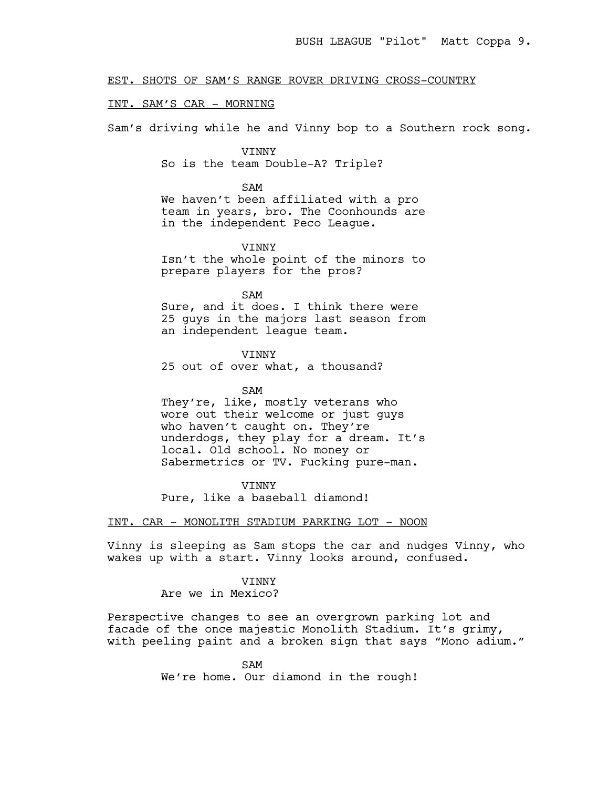EST. SHOTS OF SAM'S RANGE ROVER DRIVING CROSS-COUNTRY

# INT. SAM'S CAR - MORNING

Sam's driving while he and Vinny bop to a Southern rock song.

# VINNY So is the team Double-A? Triple?

#### SAM

We haven't been affiliated with a pro team in years, bro. The Coonhounds are in the independent Peco League.

# VINNY

Isn't the whole point of the minors to prepare players for the pros?

## SAM

Sure, and it does. I think there were 25 guys in the majors last season from an independent league team.

# VINNY

25 out of over what, a thousand?

#### SAM

They're, like, mostly veterans who wore out their welcome or just guys who haven't caught on. They're underdogs, they play for a dream. It's local. Old school. No money or Sabermetrics or TV. Fucking pure-man.

**VINNY** Pure, like a baseball diamond!

## INT. CAR - MONOLITH STADIUM PARKING LOT - NOON

Vinny is sleeping as Sam stops the car and nudges Vinny, who wakes up with a start. Vinny looks around, confused.

# **VINNY** Are we in Mexico?

Perspective changes to see an overgrown parking lot and facade of the once majestic Monolith Stadium. It's grimy, with peeling paint and a broken sign that says "Mono adium."

> SAM We're home. Our diamond in the rough!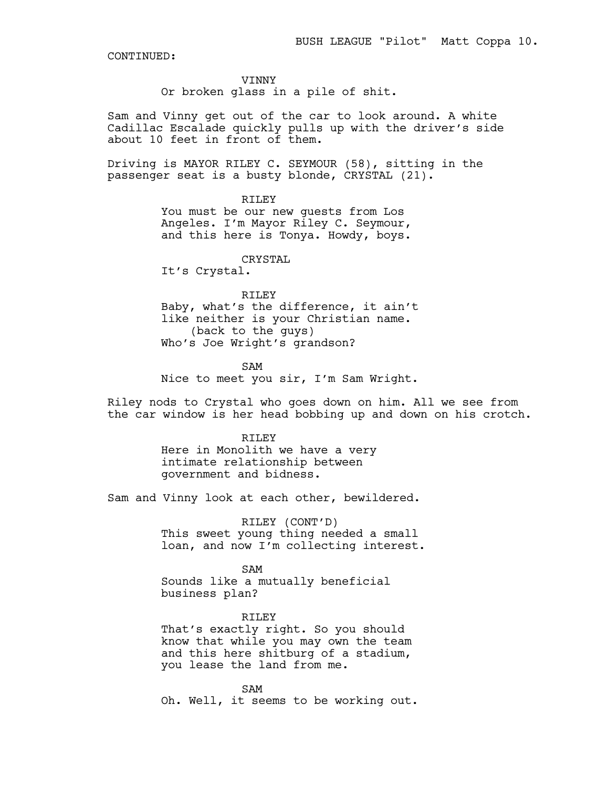#### VINNY

Or broken glass in a pile of shit.

Sam and Vinny get out of the car to look around. A white Cadillac Escalade quickly pulls up with the driver's side about 10 feet in front of them.

Driving is MAYOR RILEY C. SEYMOUR (58), sitting in the passenger seat is a busty blonde, CRYSTAL (21).

> RTLEY You must be our new guests from Los Angeles. I'm Mayor Riley C. Seymour, and this here is Tonya. Howdy, boys.

> > CRYSTAL

It's Crystal.

# RILEY

Baby, what's the difference, it ain't like neither is your Christian name. (back to the guys) Who's Joe Wright's grandson?

SAM Nice to meet you sir, I'm Sam Wright.

Riley nods to Crystal who goes down on him. All we see from the car window is her head bobbing up and down on his crotch.

> RILEY Here in Monolith we have a very intimate relationship between government and bidness.

Sam and Vinny look at each other, bewildered.

RILEY (CONT'D) This sweet young thing needed a small loan, and now I'm collecting interest.

SAM Sounds like a mutually beneficial business plan?

RILEY That's exactly right. So you should know that while you may own the team and this here shitburg of a stadium, you lease the land from me.

SAM Oh. Well, it seems to be working out.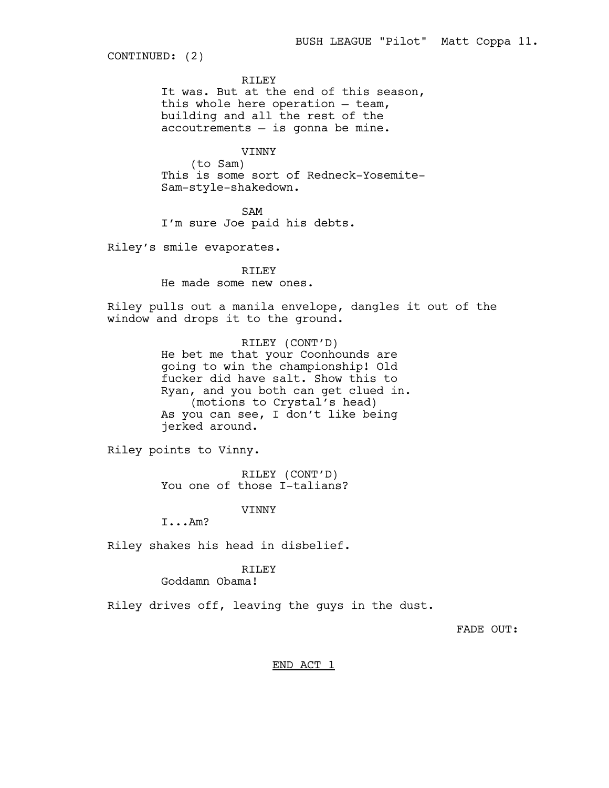CONTINUED: (2)

RILEY

It was. But at the end of this season, this whole here operation — team, building and all the rest of the accoutrements — is gonna be mine.

VINNY

(to Sam) This is some sort of Redneck-Yosemite-Sam-style-shakedown.

SAM I'm sure Joe paid his debts.

Riley's smile evaporates.

RTLEY He made some new ones.

Riley pulls out a manila envelope, dangles it out of the window and drops it to the ground.

> RILEY (CONT'D) He bet me that your Coonhounds are going to win the championship! Old fucker did have salt. Show this to Ryan, and you both can get clued in. (motions to Crystal's head) As you can see, I don't like being jerked around.

Riley points to Vinny.

RILEY (CONT'D) You one of those I-talians?

VINNY

I...Am?

Riley shakes his head in disbelief.

# RILEY

Goddamn Obama!

Riley drives off, leaving the guys in the dust.

FADE OUT:

END ACT 1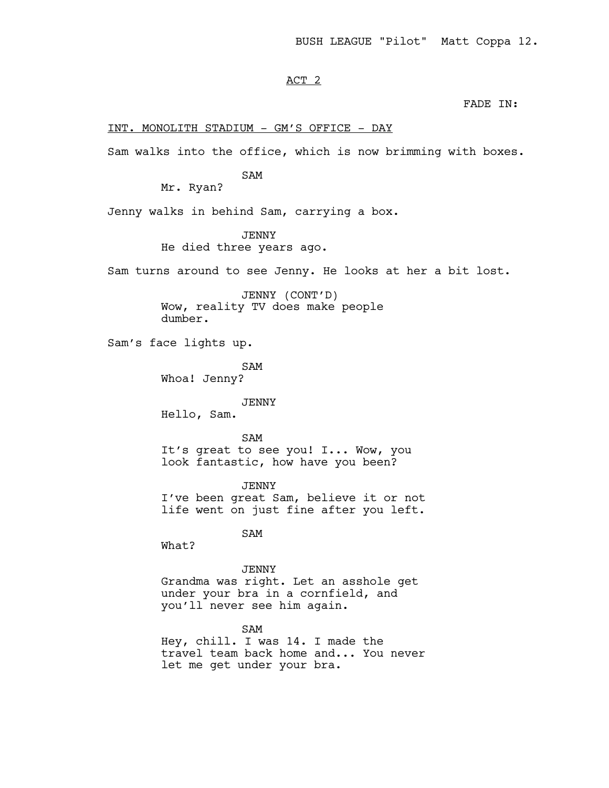# ACT 2

FADE IN:

## INT. MONOLITH STADIUM - GM'S OFFICE - DAY

Sam walks into the office, which is now brimming with boxes.

# SAM

Mr. Ryan?

Jenny walks in behind Sam, carrying a box.

# JENNY

He died three years ago.

Sam turns around to see Jenny. He looks at her a bit lost.

JENNY (CONT'D) Wow, reality TV does make people dumber.

Sam's face lights up.

SAM

Whoa! Jenny?

#### JENNY

Hello, Sam.

# SAM

It's great to see you! I... Wow, you look fantastic, how have you been?

JENNY I've been great Sam, believe it or not life went on just fine after you left.

SAM

What?

#### JENNY

Grandma was right. Let an asshole get under your bra in a cornfield, and you'll never see him again.

# SAM

Hey, chill. I was 14. I made the travel team back home and... You never let me get under your bra.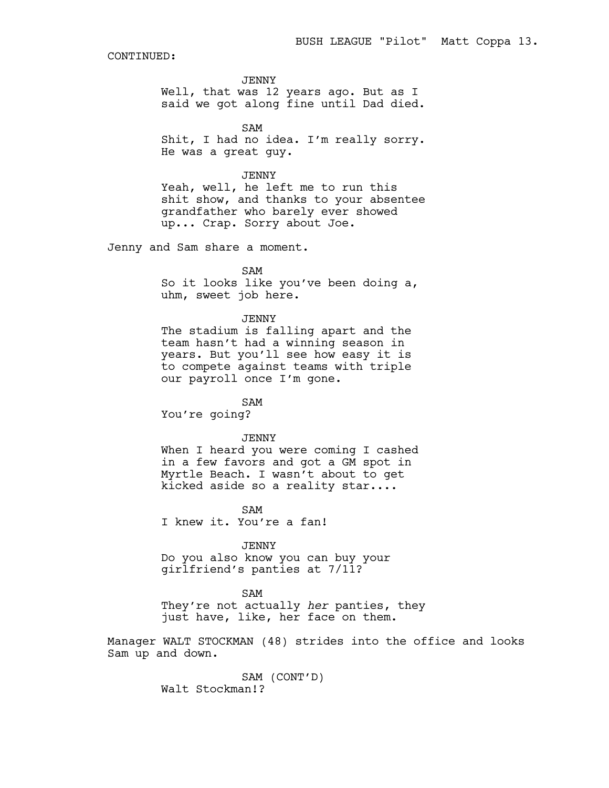JENNY

Well, that was 12 years ago. But as I said we got along fine until Dad died.

SAM Shit, I had no idea. I'm really sorry. He was a great guy.

JENNY

Yeah, well, he left me to run this shit show, and thanks to your absentee grandfather who barely ever showed up... Crap. Sorry about Joe.

Jenny and Sam share a moment.

SAM

So it looks like you've been doing a, uhm, sweet job here.

## **JENNY**

The stadium is falling apart and the team hasn't had a winning season in years. But you'll see how easy it is to compete against teams with triple our payroll once I'm gone.

SAM You're going?

JENNY

When I heard you were coming I cashed in a few favors and got a GM spot in Myrtle Beach. I wasn't about to get kicked aside so a reality star....

SAM I knew it. You're a fan!

JENNY Do you also know you can buy your girlfriend's panties at 7/11?

SAM They're not actually *her* panties, they just have, like, her face on them.

Manager WALT STOCKMAN (48) strides into the office and looks Sam up and down.

> SAM (CONT'D) Walt Stockman!?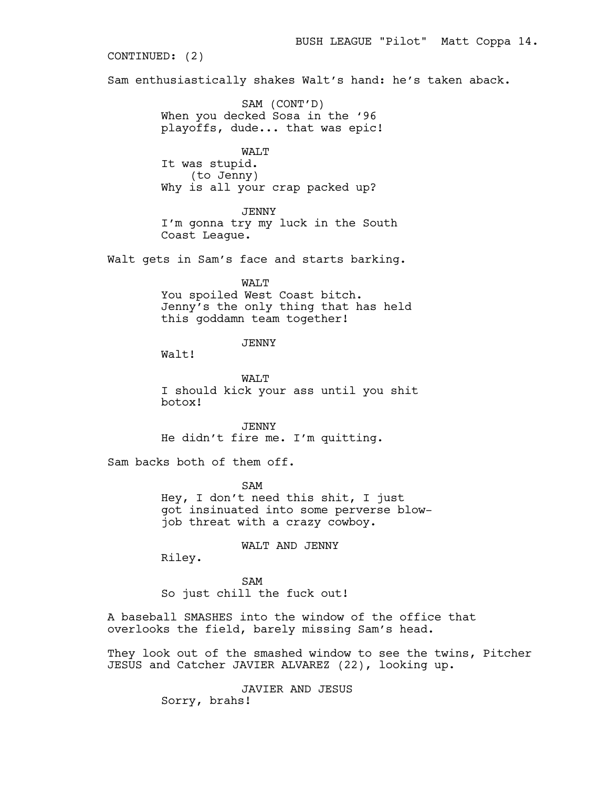Sam enthusiastically shakes Walt's hand: he's taken aback. SAM (CONT'D) When you decked Sosa in the '96 playoffs, dude... that was epic! WALT It was stupid. (to Jenny) Why is all your crap packed up? JENNY I'm gonna try my luck in the South Coast League. Walt gets in Sam's face and starts barking. WALT You spoiled West Coast bitch. Jenny's the only thing that has held this goddamn team together! JENNY Walt! WALT I should kick your ass until you shit botox! JENNY He didn't fire me. I'm quitting. Sam backs both of them off. SAM Hey, I don't need this shit, I just got insinuated into some perverse blowjob threat with a crazy cowboy. WALT AND JENNY Riley. CONTINUED: (2)

BUSH LEAGUE "Pilot" Matt Coppa 14.

SAM So just chill the fuck out!

A baseball SMASHES into the window of the office that overlooks the field, barely missing Sam's head.

They look out of the smashed window to see the twins, Pitcher JESUS and Catcher JAVIER ALVAREZ (22), looking up.

> JAVIER AND JESUS Sorry, brahs!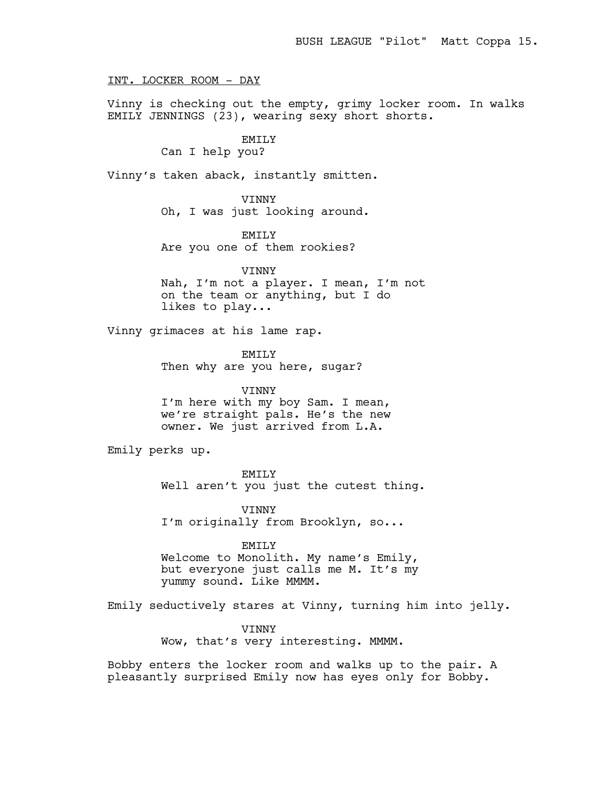INT. LOCKER ROOM - DAY

Vinny is checking out the empty, grimy locker room. In walks EMILY JENNINGS (23), wearing sexy short shorts.

# EMILY

# Can I help you?

Vinny's taken aback, instantly smitten.

VINNY Oh, I was just looking around.

EMTT<sub>.</sub>Y Are you one of them rookies?

**VINNY** Nah, I'm not a player. I mean, I'm not on the team or anything, but I do likes to play...

Vinny grimaces at his lame rap.

EMILY Then why are you here, sugar?

VINNY I'm here with my boy Sam. I mean, we're straight pals. He's the new owner. We just arrived from L.A.

Emily perks up.

EMILY

Well aren't you just the cutest thing.

VINNY I'm originally from Brooklyn, so...

EMILY

Welcome to Monolith. My name's Emily, but everyone just calls me M. It's my yummy sound. Like MMMM.

Emily seductively stares at Vinny, turning him into jelly.

VINNY Wow, that's very interesting. MMMM.

Bobby enters the locker room and walks up to the pair. A pleasantly surprised Emily now has eyes only for Bobby.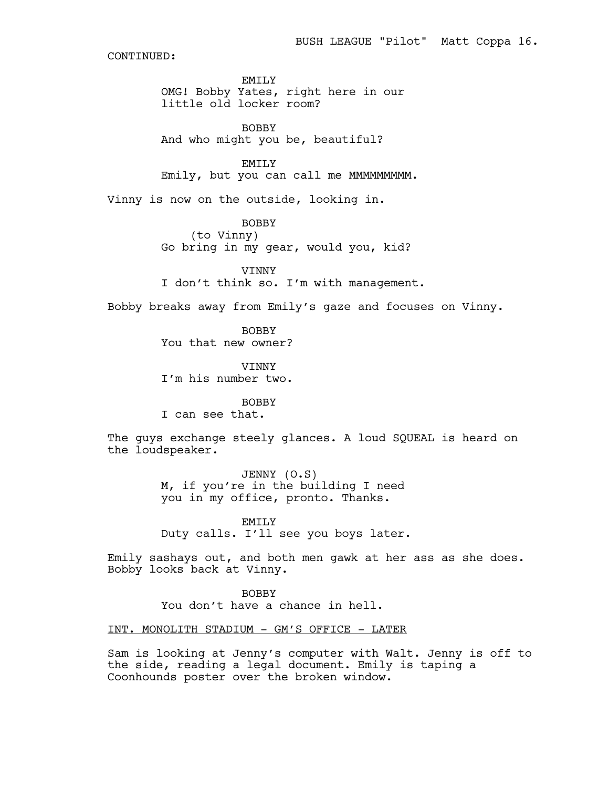EMILY OMG! Bobby Yates, right here in our little old locker room?

BOBBY And who might you be, beautiful?

EMILY Emily, but you can call me MMMMMMMMMM.

Vinny is now on the outside, looking in.

BOBBY

(to Vinny)

Go bring in my gear, would you, kid?

**VINNY** 

I don't think so. I'm with management.

Bobby breaks away from Emily's gaze and focuses on Vinny.

BOBBY You that new owner?

VINNY I'm his number two.

BOBBY

I can see that.

The guys exchange steely glances. A loud SQUEAL is heard on the loudspeaker.

> JENNY (O.S) M, if you're in the building I need you in my office, pronto. Thanks.

EMILY Duty calls. I'll see you boys later.

Emily sashays out, and both men gawk at her ass as she does. Bobby looks back at Vinny.

> BOBBY You don't have a chance in hell.

INT. MONOLITH STADIUM - GM'S OFFICE - LATER

Sam is looking at Jenny's computer with Walt. Jenny is off to the side, reading a legal document. Emily is taping a Coonhounds poster over the broken window.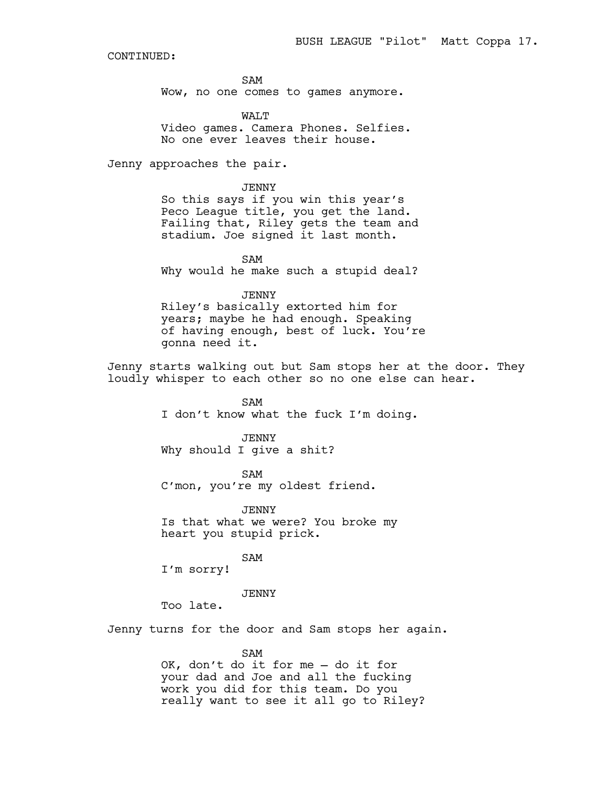SAM Wow, no one comes to games anymore.

WALT Video games. Camera Phones. Selfies. No one ever leaves their house.

Jenny approaches the pair.

JENNY

So this says if you win this year's Peco League title, you get the land. Failing that, Riley gets the team and stadium. Joe signed it last month.

SAM Why would he make such a stupid deal?

JENNY

Riley's basically extorted him for years; maybe he had enough. Speaking of having enough, best of luck. You're gonna need it.

Jenny starts walking out but Sam stops her at the door. They loudly whisper to each other so no one else can hear.

> SAM I don't know what the fuck I'm doing.

JENNY Why should I give a shit?

SAM C'mon, you're my oldest friend.

JENNY Is that what we were? You broke my heart you stupid prick.

SAM

I'm sorry!

JENNY

Too late.

Jenny turns for the door and Sam stops her again.

SAM

OK, don't do it for me — do it for your dad and Joe and all the fucking work you did for this team. Do you really want to see it all go to Riley?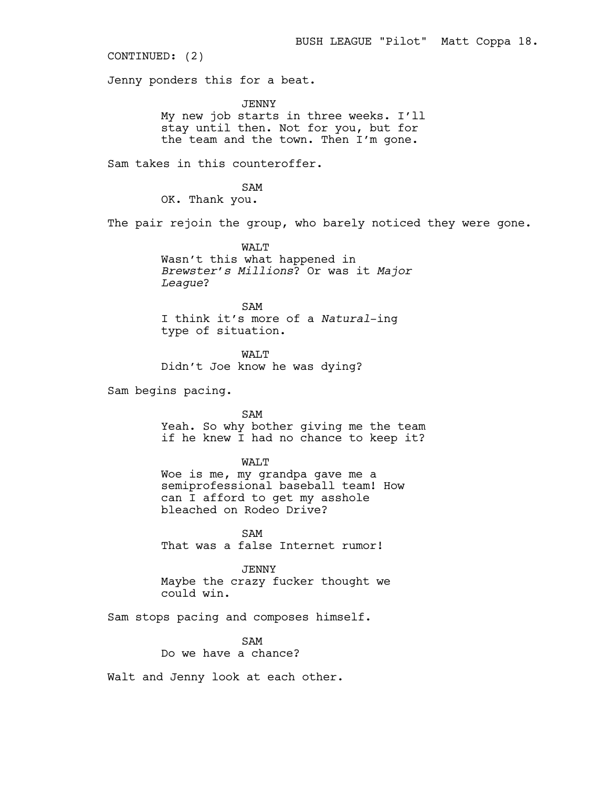CONTINUED: (2)

Jenny ponders this for a beat.

JENNY My new job starts in three weeks. I'll stay until then. Not for you, but for the team and the town. Then I'm gone.

Sam takes in this counteroffer.

SAM OK. Thank you.

The pair rejoin the group, who barely noticed they were gone.

WALT Wasn't this what happened in *Brewster's Millions*? Or was it *Major League*?

SAM I think it's more of a *Natural*-ing type of situation.

WALT Didn't Joe know he was dying?

Sam begins pacing.

SAM Yeah. So why bother giving me the team if he knew I had no chance to keep it?

WALT

Woe is me, my grandpa gave me a semiprofessional baseball team! How can I afford to get my asshole bleached on Rodeo Drive?

SAM That was a false Internet rumor!

JENNY Maybe the crazy fucker thought we could win.

Sam stops pacing and composes himself.

SAM Do we have a chance?

Walt and Jenny look at each other.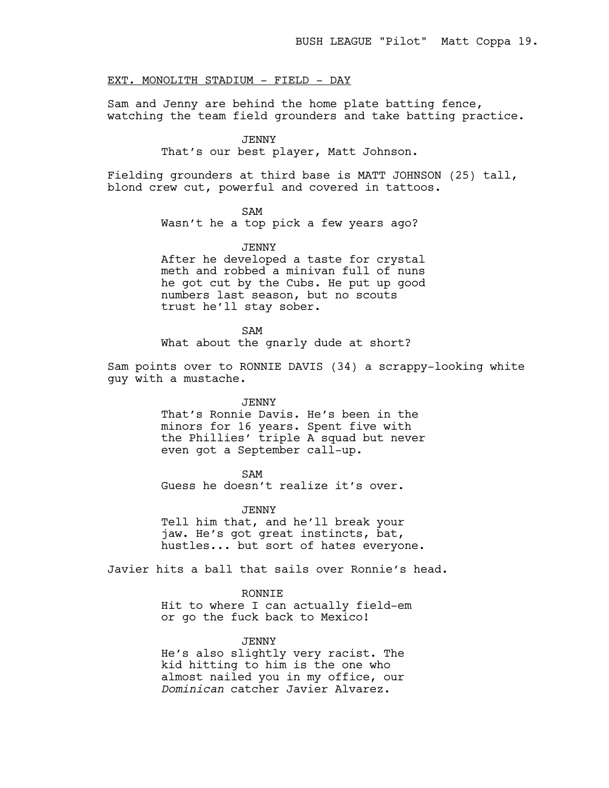# EXT. MONOLITH STADIUM - FIELD - DAY

Sam and Jenny are behind the home plate batting fence, watching the team field grounders and take batting practice.

#### JENNY

That's our best player, Matt Johnson.

Fielding grounders at third base is MATT JOHNSON (25) tall, blond crew cut, powerful and covered in tattoos.

# SAM

Wasn't he a top pick a few years ago?

## JENNY

After he developed a taste for crystal meth and robbed a minivan full of nuns he got cut by the Cubs. He put up good numbers last season, but no scouts trust he'll stay sober.

SAM What about the gnarly dude at short?

Sam points over to RONNIE DAVIS (34) a scrappy-looking white guy with a mustache.

#### JENNY

That's Ronnie Davis. He's been in the minors for 16 years. Spent five with the Phillies' triple A squad but never even got a September call-up.

#### SAM

Guess he doesn't realize it's over.

#### JENNY

Tell him that, and he'll break your jaw. He's got great instincts, bat, hustles... but sort of hates everyone.

Javier hits a ball that sails over Ronnie's head.

# RONNIE

Hit to where I can actually field-em or go the fuck back to Mexico!

# JENNY

He's also slightly very racist. The kid hitting to him is the one who almost nailed you in my office, our *Dominican* catcher Javier Alvarez.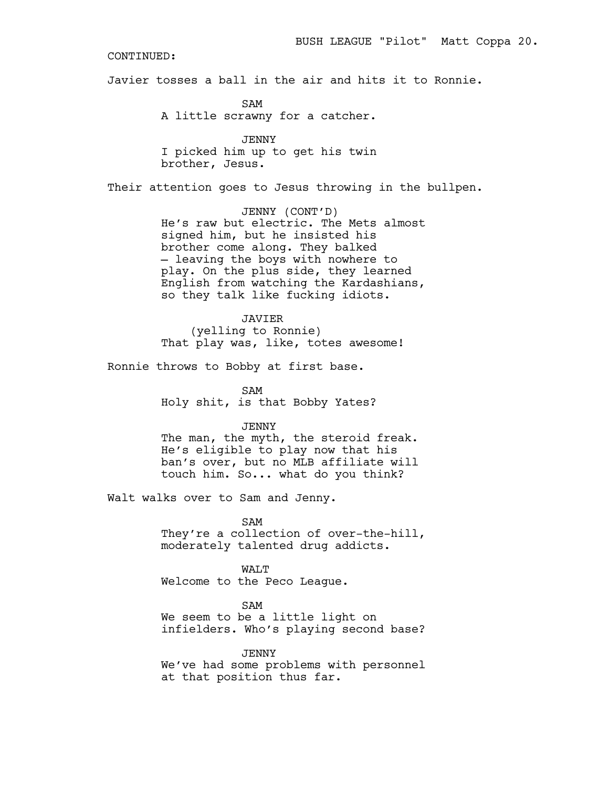Javier tosses a ball in the air and hits it to Ronnie.

SAM A little scrawny for a catcher.

JENNY I picked him up to get his twin brother, Jesus.

Their attention goes to Jesus throwing in the bullpen.

JENNY (CONT'D) He's raw but electric. The Mets almost signed him, but he insisted his brother come along. They balked — leaving the boys with nowhere to play. On the plus side, they learned English from watching the Kardashians, so they talk like fucking idiots.

JAVIER (yelling to Ronnie) That play was, like, totes awesome!

Ronnie throws to Bobby at first base.

SAM Holy shit, is that Bobby Yates?

# JENNY

The man, the myth, the steroid freak. He's eligible to play now that his ban's over, but no MLB affiliate will touch him. So... what do you think?

Walt walks over to Sam and Jenny.

SAM They're a collection of over-the-hill, moderately talented drug addicts.

WALT Welcome to the Peco League.

#### SAM

We seem to be a little light on infielders. Who's playing second base?

#### JENNY

We've had some problems with personnel at that position thus far.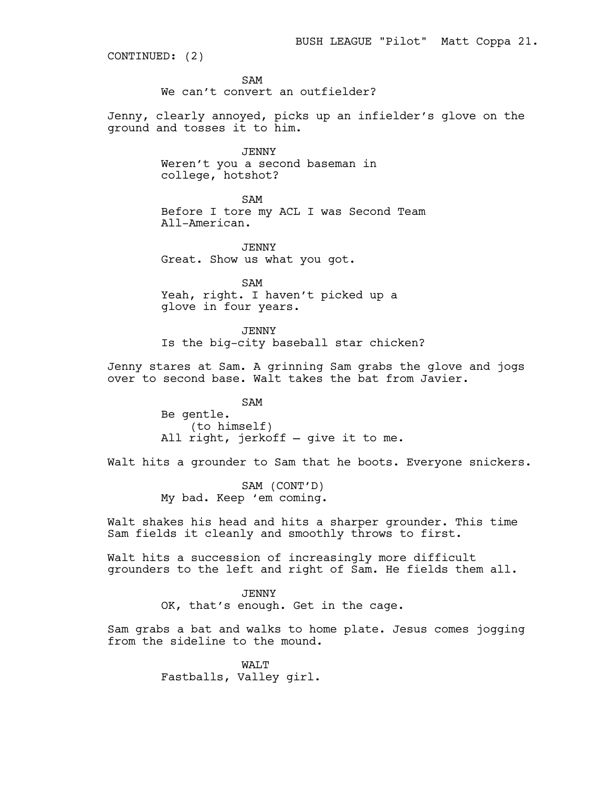CONTINUED: (2)

SAM

We can't convert an outfielder?

Jenny, clearly annoyed, picks up an infielder's glove on the ground and tosses it to him.

> JENNY Weren't you a second baseman in college, hotshot?

SAM Before I tore my ACL I was Second Team All-American.

JENNY Great. Show us what you got.

SAM Yeah, right. I haven't picked up a glove in four years.

JENNY Is the big-city baseball star chicken?

Jenny stares at Sam. A grinning Sam grabs the glove and jogs over to second base. Walt takes the bat from Javier.

> SAM Be gentle. (to himself) All right, jerkoff — give it to me.

Walt hits a grounder to Sam that he boots. Everyone snickers.

SAM (CONT'D) My bad. Keep 'em coming.

Walt shakes his head and hits a sharper grounder. This time Sam fields it cleanly and smoothly throws to first.

Walt hits a succession of increasingly more difficult grounders to the left and right of Sam. He fields them all.

> JENNY OK, that's enough. Get in the cage.

Sam grabs a bat and walks to home plate. Jesus comes jogging from the sideline to the mound.

> WALT Fastballs, Valley girl.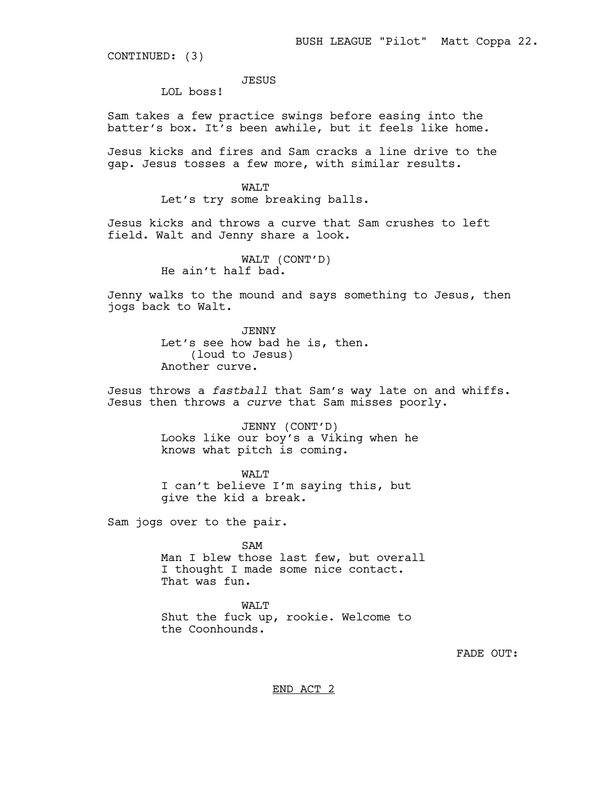CONTINUED: (3)

JESUS

LOL boss!

Sam takes a few practice swings before easing into the batter's box. It's been awhile, but it feels like home.

Jesus kicks and fires and Sam cracks a line drive to the gap. Jesus tosses a few more, with similar results.

> WALT Let's try some breaking balls.

Jesus kicks and throws a curve that Sam crushes to left field. Walt and Jenny share a look.

> WALT (CONT'D) He ain't half bad.

Jenny walks to the mound and says something to Jesus, then jogs back to Walt.

> JENNY Let's see how bad he is, then. (loud to Jesus) Another curve.

Jesus throws a *fastball* that Sam's way late on and whiffs. Jesus then throws a *curve* that Sam misses poorly.

> JENNY (CONT'D) Looks like our boy's a Viking when he knows what pitch is coming.

WAT<sub>I</sub>T I can't believe I'm saying this, but give the kid a break.

Sam jogs over to the pair.

SAM Man I blew those last few, but overall I thought I made some nice contact. That was fun.

WALT Shut the fuck up, rookie. Welcome to the Coonhounds.

FADE OUT:

END ACT 2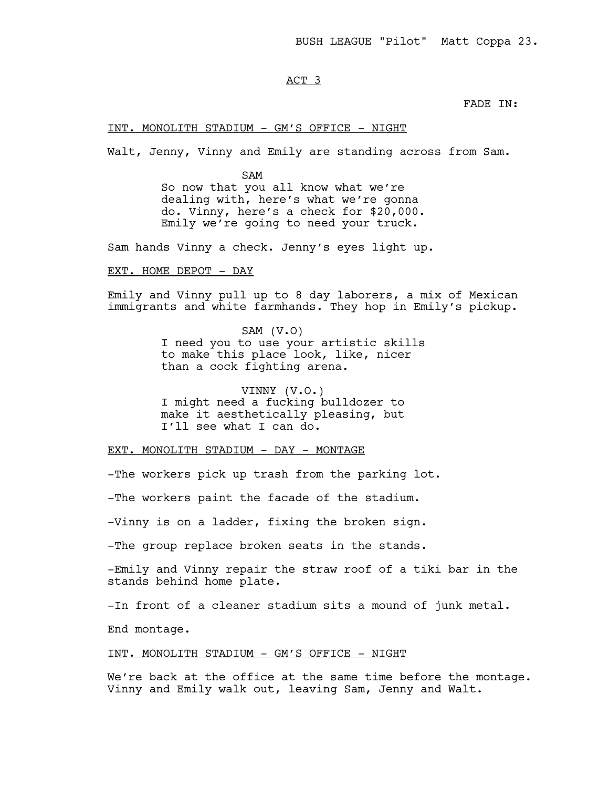# ACT 3

FADE IN:

INT. MONOLITH STADIUM - GM'S OFFICE - NIGHT

Walt, Jenny, Vinny and Emily are standing across from Sam.

SAM So now that you all know what we're dealing with, here's what we're gonna do. Vinny, here's a check for \$20,000. Emily we're going to need your truck.

Sam hands Vinny a check. Jenny's eyes light up.

EXT. HOME DEPOT - DAY

Emily and Vinny pull up to 8 day laborers, a mix of Mexican immigrants and white farmhands. They hop in Emily's pickup.

> SAM (V.O) I need you to use your artistic skills to make this place look, like, nicer than a cock fighting arena.

VINNY (V.O.) I might need a fucking bulldozer to make it aesthetically pleasing, but I'll see what I can do.

# EXT. MONOLITH STADIUM - DAY - MONTAGE

-The workers pick up trash from the parking lot.

-The workers paint the facade of the stadium.

-Vinny is on a ladder, fixing the broken sign.

-The group replace broken seats in the stands.

-Emily and Vinny repair the straw roof of a tiki bar in the stands behind home plate.

-In front of a cleaner stadium sits a mound of junk metal.

End montage.

## INT. MONOLITH STADIUM - GM'S OFFICE - NIGHT

We're back at the office at the same time before the montage. Vinny and Emily walk out, leaving Sam, Jenny and Walt.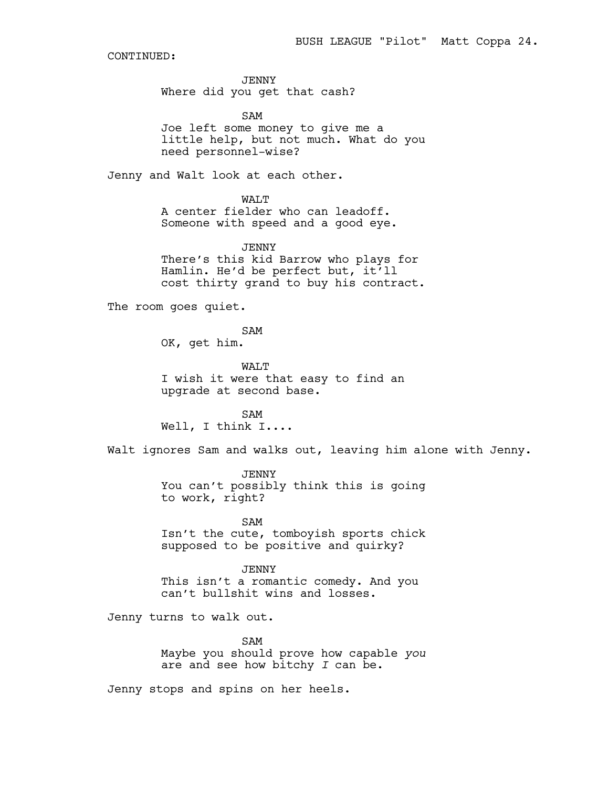JENNY Where did you get that cash?

SAM Joe left some money to give me a little help, but not much. What do you need personnel-wise?

Jenny and Walt look at each other.

WAT.T A center fielder who can leadoff. Someone with speed and a good eye.

JENNY There's this kid Barrow who plays for Hamlin. He'd be perfect but, it'll cost thirty grand to buy his contract.

The room goes quiet.

SAM OK, get him.

WALT I wish it were that easy to find an upgrade at second base.

SAM Well, I think I....

Walt ignores Sam and walks out, leaving him alone with Jenny.

JENNY You can't possibly think this is going to work, right?

SAM Isn't the cute, tomboyish sports chick supposed to be positive and quirky?

JENNY This isn't a romantic comedy. And you can't bullshit wins and losses.

Jenny turns to walk out.

SAM Maybe you should prove how capable *you* are and see how bitchy *I* can be.

Jenny stops and spins on her heels.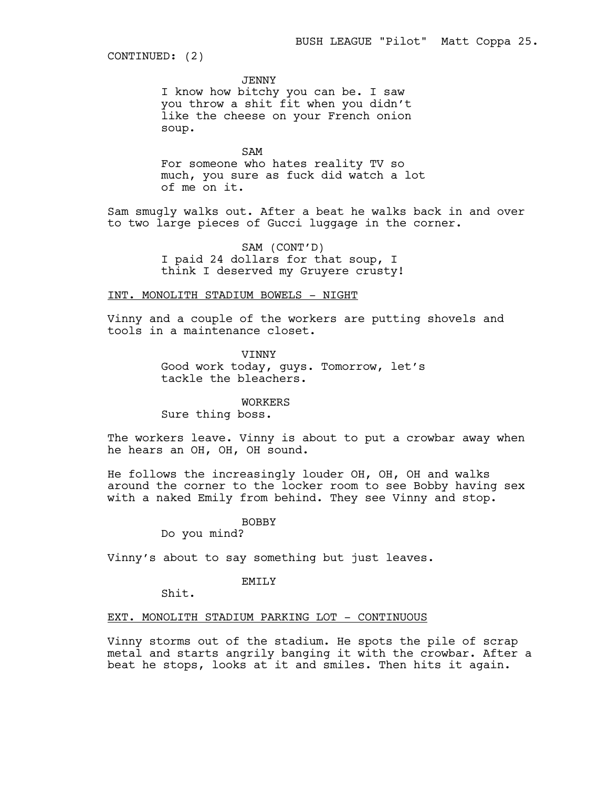CONTINUED: (2)

JENNY

I know how bitchy you can be. I saw you throw a shit fit when you didn't like the cheese on your French onion soup.

SAM For someone who hates reality TV so much, you sure as fuck did watch a lot of me on it.

Sam smugly walks out. After a beat he walks back in and over to two large pieces of Gucci luggage in the corner.

> SAM (CONT'D) I paid 24 dollars for that soup, I think I deserved my Gruyere crusty!

# INT. MONOLITH STADIUM BOWELS - NIGHT

Vinny and a couple of the workers are putting shovels and tools in a maintenance closet.

> VINNY Good work today, guys. Tomorrow, let's tackle the bleachers.

> > WORKERS

Sure thing boss.

The workers leave. Vinny is about to put a crowbar away when he hears an OH, OH, OH sound.

He follows the increasingly louder OH, OH, OH and walks around the corner to the locker room to see Bobby having sex with a naked Emily from behind. They see Vinny and stop.

BOBBY

Do you mind?

Vinny's about to say something but just leaves.

# EMILY

Shit.

## EXT. MONOLITH STADIUM PARKING LOT - CONTINUOUS

Vinny storms out of the stadium. He spots the pile of scrap metal and starts angrily banging it with the crowbar. After a beat he stops, looks at it and smiles. Then hits it again.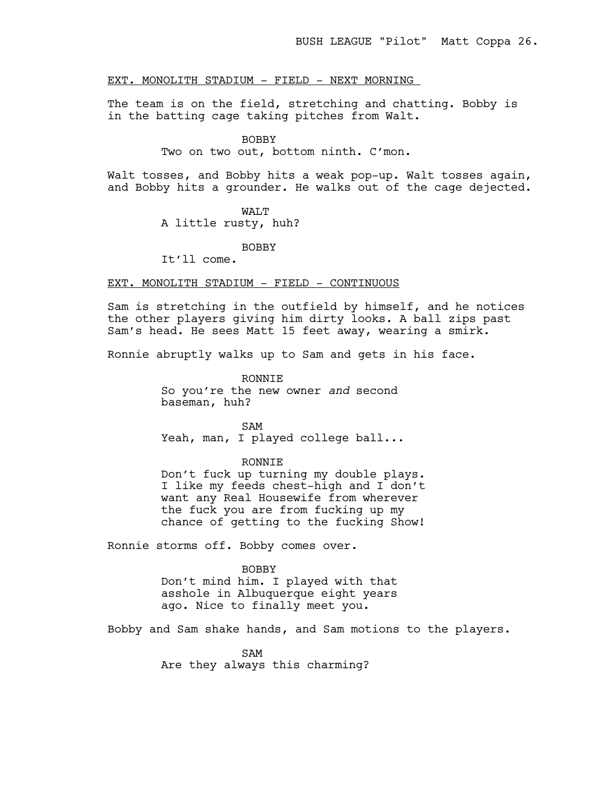# EXT. MONOLITH STADIUM - FIELD - NEXT MORNING

The team is on the field, stretching and chatting. Bobby is in the batting cage taking pitches from Walt.

#### BOBBY

Two on two out, bottom ninth. C'mon.

Walt tosses, and Bobby hits a weak pop-up. Walt tosses again, and Bobby hits a grounder. He walks out of the cage dejected.

#### WAT.T

A little rusty, huh?

#### BOBBY

It'll come.

# EXT. MONOLITH STADIUM - FIELD - CONTINUOUS

Sam is stretching in the outfield by himself, and he notices the other players giving him dirty looks. A ball zips past Sam's head. He sees Matt 15 feet away, wearing a smirk.

Ronnie abruptly walks up to Sam and gets in his face.

RONNIE So you're the new owner *and* second baseman, huh?

SAM Yeah, man, I played college ball...

#### RONNIE

Don't fuck up turning my double plays. I like my feeds chest-high and I don't want any Real Housewife from wherever the fuck you are from fucking up my chance of getting to the fucking Show!

Ronnie storms off. Bobby comes over.

#### BOBBY

Don't mind him. I played with that asshole in Albuquerque eight years ago. Nice to finally meet you.

Bobby and Sam shake hands, and Sam motions to the players.

SAM Are they always this charming?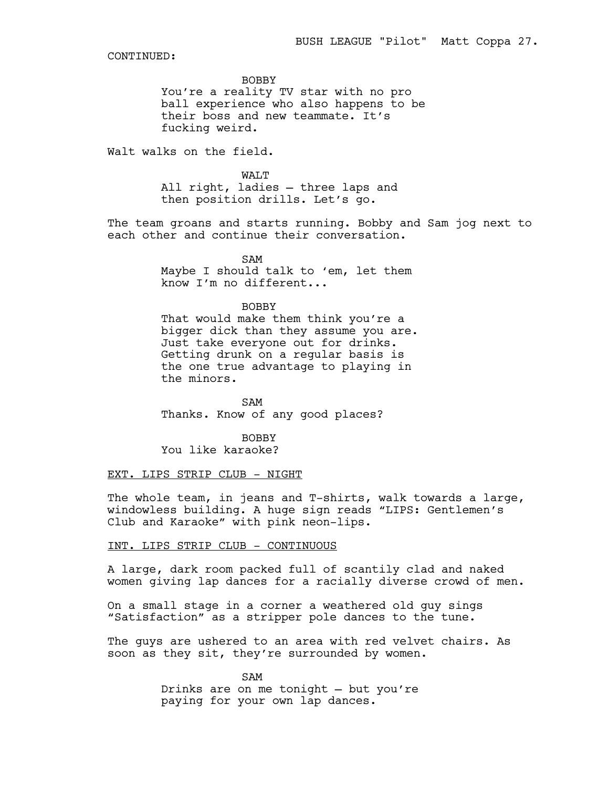BOBBY

You're a reality TV star with no pro ball experience who also happens to be their boss and new teammate. It's fucking weird.

Walt walks on the field.

WALT All right, ladies — three laps and then position drills. Let's go.

The team groans and starts running. Bobby and Sam jog next to each other and continue their conversation.

> SAM Maybe I should talk to 'em, let them know I'm no different...

#### BOBBY

That would make them think you're a bigger dick than they assume you are. Just take everyone out for drinks. Getting drunk on a regular basis is the one true advantage to playing in the minors.

SAM Thanks. Know of any good places?

BOBBY You like karaoke?

## EXT. LIPS STRIP CLUB - NIGHT

The whole team, in jeans and T-shirts, walk towards a large, windowless building. A huge sign reads "LIPS: Gentlemen's Club and Karaoke" with pink neon-lips.

# INT. LIPS STRIP CLUB - CONTINUOUS

A large, dark room packed full of scantily clad and naked women giving lap dances for a racially diverse crowd of men.

On a small stage in a corner a weathered old guy sings "Satisfaction" as a stripper pole dances to the tune.

The guys are ushered to an area with red velvet chairs. As soon as they sit, they're surrounded by women.

> SAM Drinks are on me tonight — but you're paying for your own lap dances.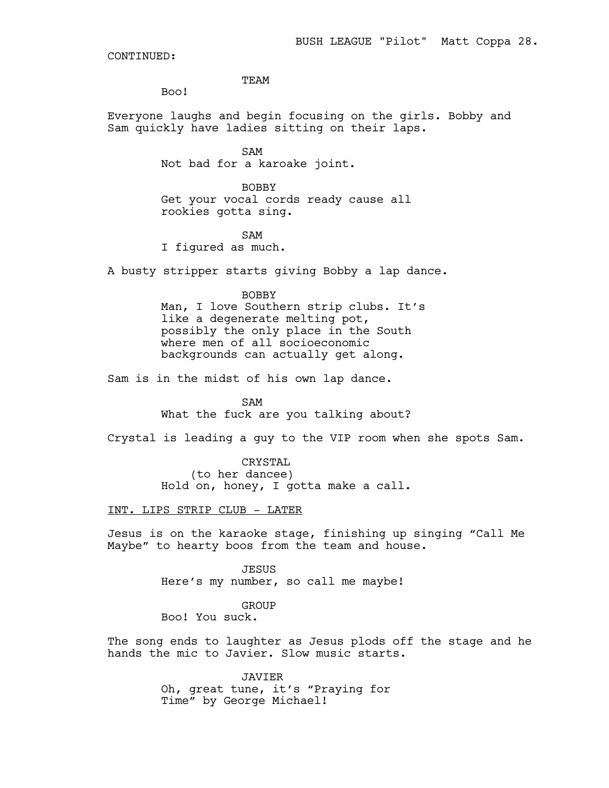**TEAM** 

Boo!

Everyone laughs and begin focusing on the girls. Bobby and Sam quickly have ladies sitting on their laps.

> SAM Not bad for a karoake joint.

BOBBY Get your vocal cords ready cause all rookies gotta sing.

SAM

I figured as much.

A busty stripper starts giving Bobby a lap dance.

## BOBBY

Man, I love Southern strip clubs. It's like a degenerate melting pot, possibly the only place in the South where men of all socioeconomic backgrounds can actually get along.

Sam is in the midst of his own lap dance.

SAM What the fuck are you talking about?

Crystal is leading a guy to the VIP room when she spots Sam.

CRYSTAL

(to her dancee) Hold on, honey, I gotta make a call.

INT. LIPS STRIP CLUB - LATER

Jesus is on the karaoke stage, finishing up singing "Call Me Maybe" to hearty boos from the team and house.

> JESUS Here's my number, so call me maybe!

> > GROUP

Boo! You suck.

The song ends to laughter as Jesus plods off the stage and he hands the mic to Javier. Slow music starts.

> JAVIER Oh, great tune, it's "Praying for Time" by George Michael!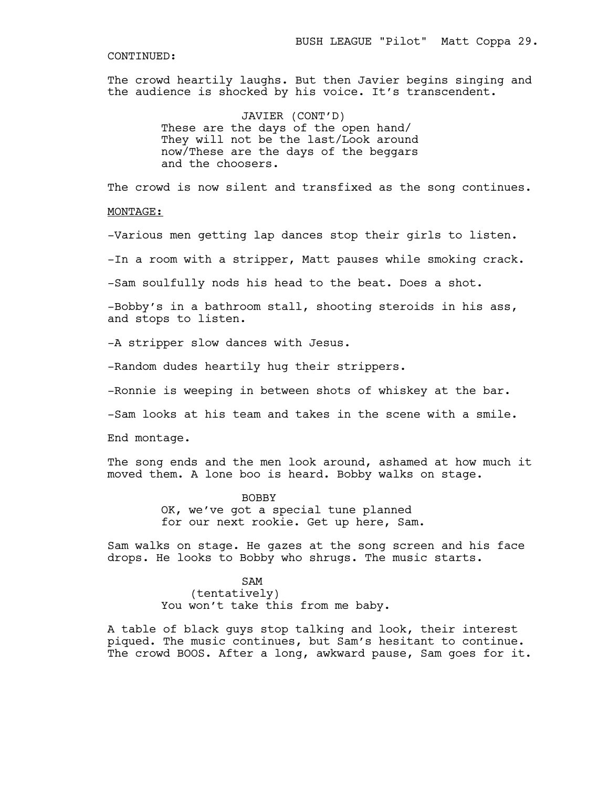The crowd heartily laughs. But then Javier begins singing and the audience is shocked by his voice. It's transcendent.

> JAVIER (CONT'D) These are the days of the open hand/ They will not be the last/Look around now/These are the days of the beggars and the choosers.

The crowd is now silent and transfixed as the song continues.

#### MONTAGE:

-Various men getting lap dances stop their girls to listen.

-In a room with a stripper, Matt pauses while smoking crack.

-Sam soulfully nods his head to the beat. Does a shot.

-Bobby's in a bathroom stall, shooting steroids in his ass, and stops to listen.

-A stripper slow dances with Jesus.

-Random dudes heartily hug their strippers.

-Ronnie is weeping in between shots of whiskey at the bar.

-Sam looks at his team and takes in the scene with a smile.

End montage.

The song ends and the men look around, ashamed at how much it moved them. A lone boo is heard. Bobby walks on stage.

> BOBBY OK, we've got a special tune planned for our next rookie. Get up here, Sam.

Sam walks on stage. He gazes at the song screen and his face drops. He looks to Bobby who shrugs. The music starts.

> SAM (tentatively) You won't take this from me baby.

A table of black guys stop talking and look, their interest piqued. The music continues, but Sam's hesitant to continue. The crowd BOOS. After a long, awkward pause, Sam goes for it.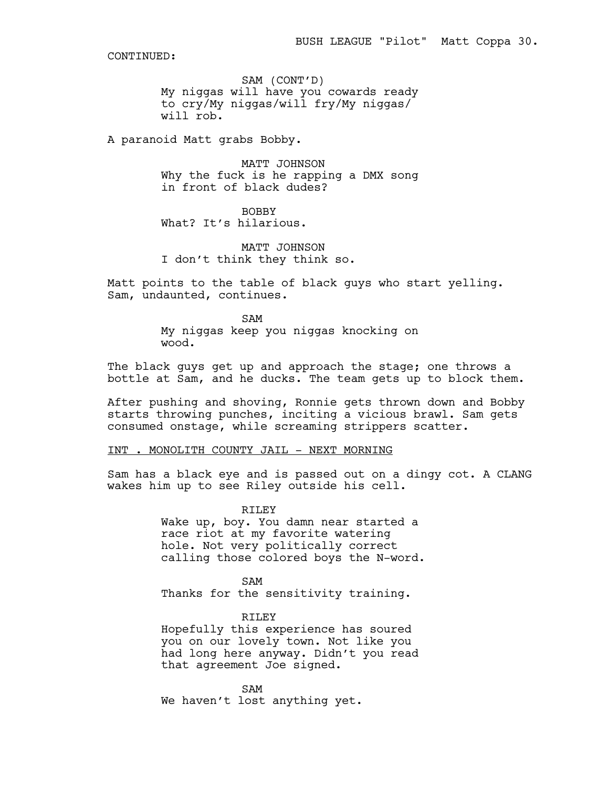SAM (CONT'D) My niggas will have you cowards ready to cry/My niggas/will fry/My niggas/ will rob.

A paranoid Matt grabs Bobby.

MATT JOHNSON Why the fuck is he rapping a DMX song in front of black dudes?

BOBBY What? It's hilarious.

MATT JOHNSON I don't think they think so.

Matt points to the table of black guys who start yelling. Sam, undaunted, continues.

> SAM My niggas keep you niggas knocking on wood.

The black guys get up and approach the stage; one throws a bottle at Sam, and he ducks. The team gets up to block them.

After pushing and shoving, Ronnie gets thrown down and Bobby starts throwing punches, inciting a vicious brawl. Sam gets consumed onstage, while screaming strippers scatter.

INT . MONOLITH COUNTY JAIL - NEXT MORNING

Sam has a black eye and is passed out on a dingy cot. A CLANG wakes him up to see Riley outside his cell.

> RILEY Wake up, boy. You damn near started a race riot at my favorite watering hole. Not very politically correct calling those colored boys the N-word.

SAM Thanks for the sensitivity training.

RILEY Hopefully this experience has soured you on our lovely town. Not like you had long here anyway. Didn't you read that agreement Joe signed.

SAM We haven't lost anything yet.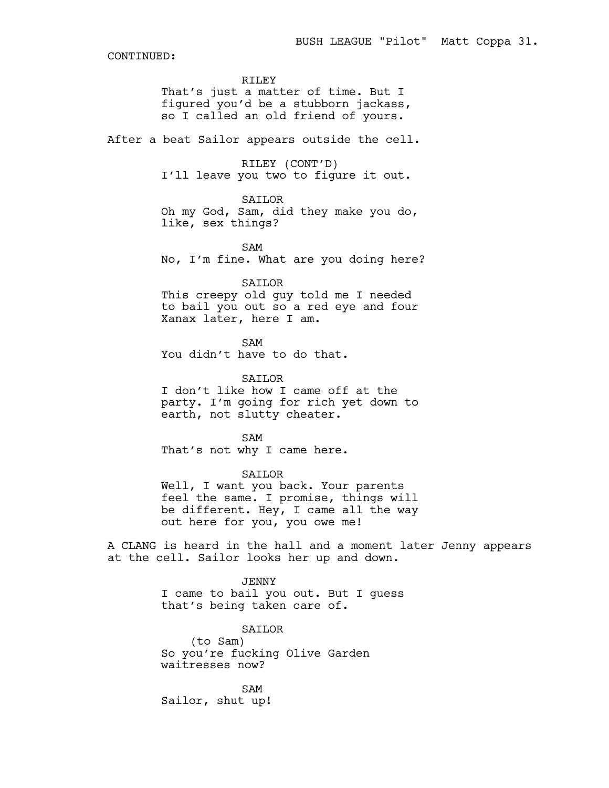#### RILEY

That's just a matter of time. But I figured you'd be a stubborn jackass, so I called an old friend of yours.

After a beat Sailor appears outside the cell.

RILEY (CONT'D) I'll leave you two to figure it out.

#### SAILOR

Oh my God, Sam, did they make you do, like, sex things?

#### SAM

No, I'm fine. What are you doing here?

# SAILOR

This creepy old guy told me I needed to bail you out so a red eye and four Xanax later, here I am.

SAM You didn't have to do that.

SAILOR

I don't like how I came off at the party. I'm going for rich yet down to earth, not slutty cheater.

SAM That's not why I came here.

# SAILOR

Well, I want you back. Your parents feel the same. I promise, things will be different. Hey, I came all the way out here for you, you owe me!

A CLANG is heard in the hall and a moment later Jenny appears at the cell. Sailor looks her up and down.

> JENNY I came to bail you out. But I guess that's being taken care of.

SAILOR (to Sam) So you're fucking Olive Garden waitresses now?

SAM Sailor, shut up!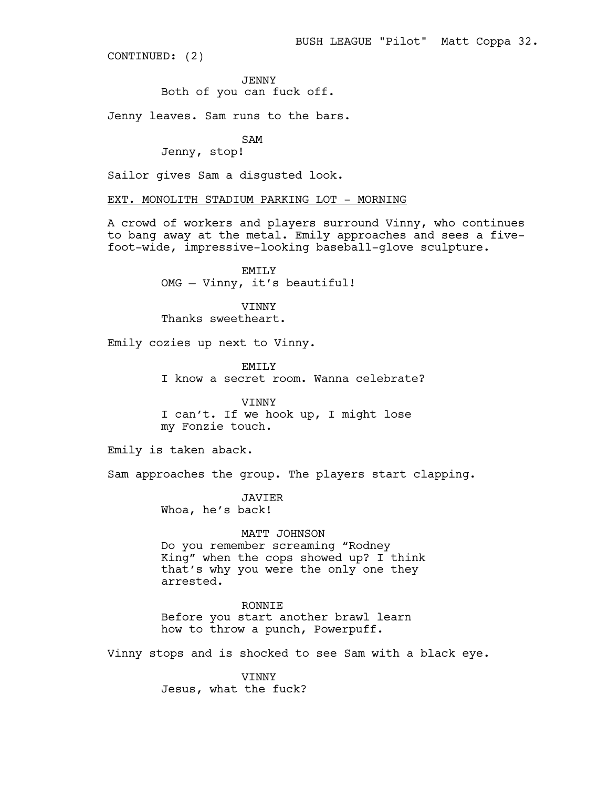CONTINUED: (2)

JENNY

Both of you can fuck off.

Jenny leaves. Sam runs to the bars.

SAM

Jenny, stop!

Sailor gives Sam a disgusted look.

EXT. MONOLITH STADIUM PARKING LOT - MORNING

A crowd of workers and players surround Vinny, who continues to bang away at the metal. Emily approaches and sees a fivefoot-wide, impressive-looking baseball-glove sculpture.

> EMILY OMG — Vinny, it's beautiful!

VINNY Thanks sweetheart.

Emily cozies up next to Vinny.

EMILY I know a secret room. Wanna celebrate?

**VINNY** I can't. If we hook up, I might lose my Fonzie touch.

Emily is taken aback.

Sam approaches the group. The players start clapping.

JAVIER Whoa, he's back!

MATT JOHNSON

Do you remember screaming "Rodney King" when the cops showed up? I think that's why you were the only one they arrested.

RONNIE Before you start another brawl learn how to throw a punch, Powerpuff.

Vinny stops and is shocked to see Sam with a black eye.

VINNY Jesus, what the fuck?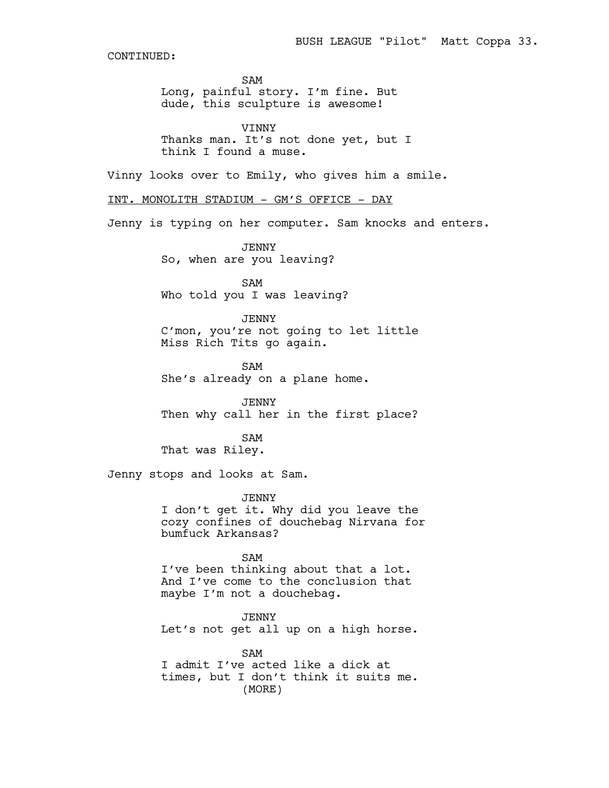SAM

Long, painful story. I'm fine. But dude, this sculpture is awesome!

VINNY Thanks man. It's not done yet, but I think I found a muse.

Vinny looks over to Emily, who gives him a smile.

INT. MONOLITH STADIUM - GM'S OFFICE - DAY

Jenny is typing on her computer. Sam knocks and enters.

JENNY So, when are you leaving?

SAM Who told you I was leaving?

JENNY C'mon, you're not going to let little Miss Rich Tits go again.

SAM She's already on a plane home.

JENNY Then why call her in the first place?

SAM That was Riley.

Jenny stops and looks at Sam.

JENNY I don't get it. Why did you leave the cozy confines of douchebag Nirvana for bumfuck Arkansas?

SAM I've been thinking about that a lot. And I've come to the conclusion that maybe I'm not a douchebag.

JENNY Let's not get all up on a high horse.

SAM I admit I've acted like a dick at times, but I don't think it suits me. (MORE)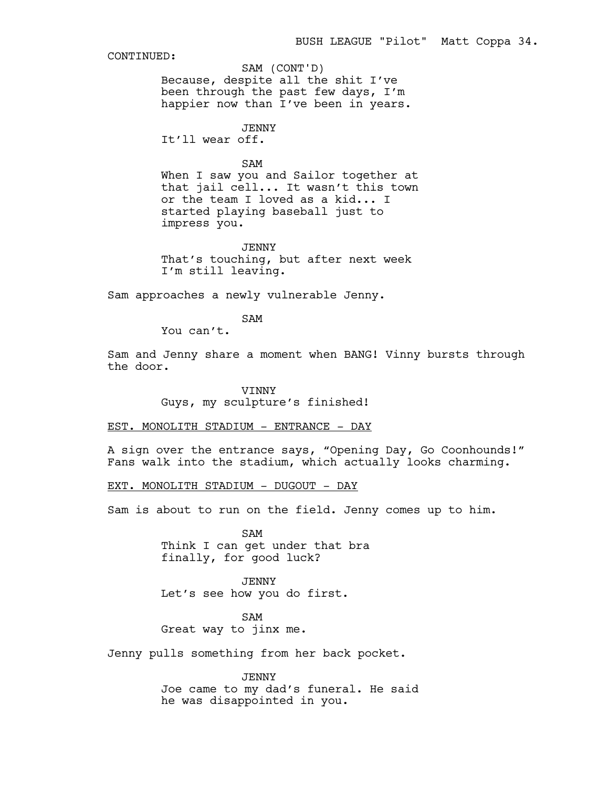SAM (CONT'D)

Because, despite all the shit I've been through the past few days, I'm happier now than I've been in years.

JENNY

It'll wear off.

SAM

When I saw you and Sailor together at that jail cell... It wasn't this town or the team I loved as a kid... I started playing baseball just to impress you.

JENNY That's touching, but after next week I'm still leaving.

Sam approaches a newly vulnerable Jenny.

SAM

You can't.

Sam and Jenny share a moment when BANG! Vinny bursts through the door.

> VINNY Guys, my sculpture's finished!

EST. MONOLITH STADIUM - ENTRANCE - DAY

A sign over the entrance says, "Opening Day, Go Coonhounds!" Fans walk into the stadium, which actually looks charming.

EXT. MONOLITH STADIUM - DUGOUT - DAY

Sam is about to run on the field. Jenny comes up to him.

SAM Think I can get under that bra finally, for good luck?

JENNY Let's see how you do first.

SAM Great way to jinx me.

Jenny pulls something from her back pocket.

JENNY Joe came to my dad's funeral. He said he was disappointed in you.